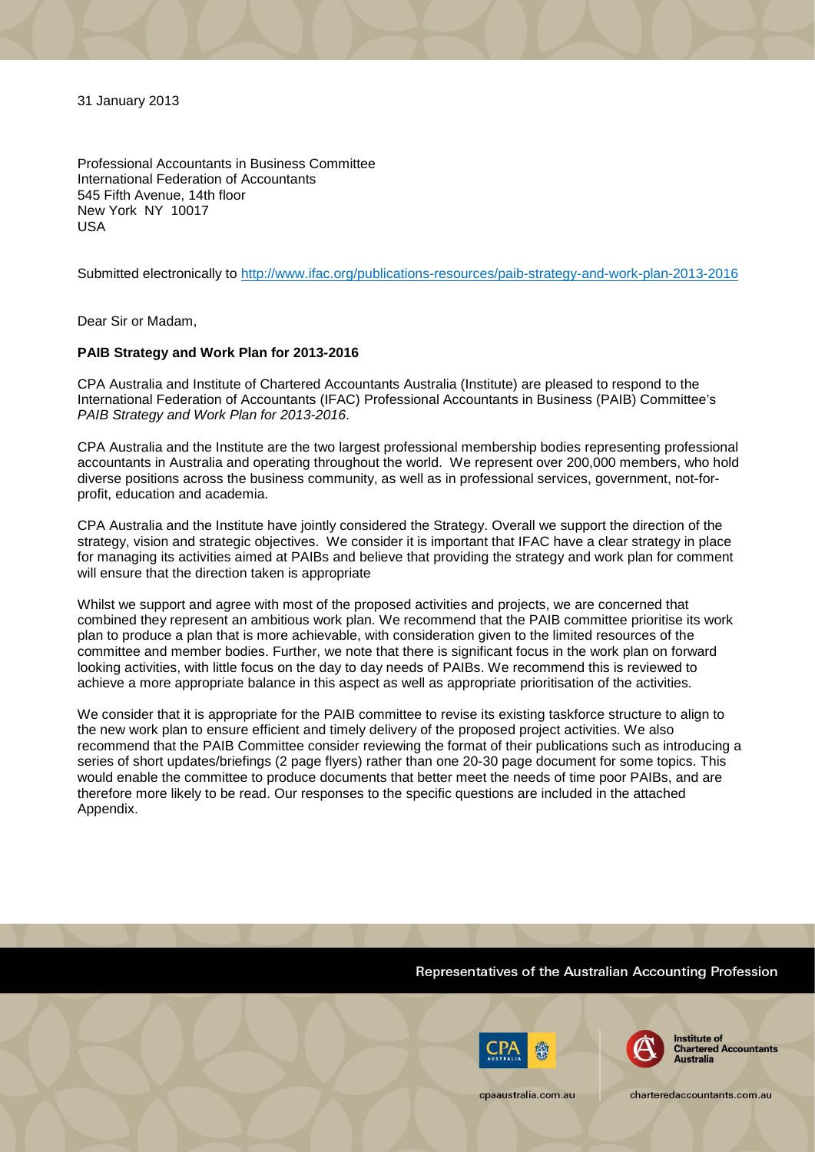31 January 2013

Professional Accountants in Business Committee International Federation of Accountants 545 Fifth Avenue, 14th floor New York NY 10017 USA

Submitted electronically to http://www.ifac.org/publications-resources/paib-strategy-and-work-plan-2013-2016

Dear Sir or Madam,

### **PAIB Strategy and Work Plan for 2013-2016**

CPA Australia and Institute of Chartered Accountants Australia (Institute) are pleased to respond to the International Federation of Accountants (IFAC) Professional Accountants in Business (PAIB) Committee's *PAIB Strategy and Work Plan for 2013-2016*.

CPA Australia and the Institute are the two largest professional membership bodies representing professional accountants in Australia and operating throughout the world. We represent over 200,000 members, who hold diverse positions across the business community, as well as in professional services, government, not-forprofit, education and academia.

CPA Australia and the Institute have jointly considered the Strategy. Overall we support the direction of the strategy, vision and strategic objectives. We consider it is important that IFAC have a clear strategy in place for managing its activities aimed at PAIBs and believe that providing the strategy and work plan for comment will ensure that the direction taken is appropriate

Whilst we support and agree with most of the proposed activities and projects, we are concerned that combined they represent an ambitious work plan. We recommend that the PAIB committee prioritise its work plan to produce a plan that is more achievable, with consideration given to the limited resources of the committee and member bodies. Further, we note that there is significant focus in the work plan on forward looking activities, with little focus on the day to day needs of PAIBs. We recommend this is reviewed to achieve a more appropriate balance in this aspect as well as appropriate prioritisation of the activities.

We consider that it is appropriate for the PAIB committee to revise its existing taskforce structure to align to the new work plan to ensure efficient and timely delivery of the proposed project activities. We also recommend that the PAIB Committee consider reviewing the format of their publications such as introducing a series of short updates/briefings (2 page flyers) rather than one 20-30 page document for some topics. This would enable the committee to produce documents that better meet the needs of time poor PAIBs, and are therefore more likely to be read. Our responses to the specific questions are included in the attached Appendix.

## Representatives of the Australian Accounting Profession





**Institute of Chartered Accountants Australia** 

charteredaccountants.com.au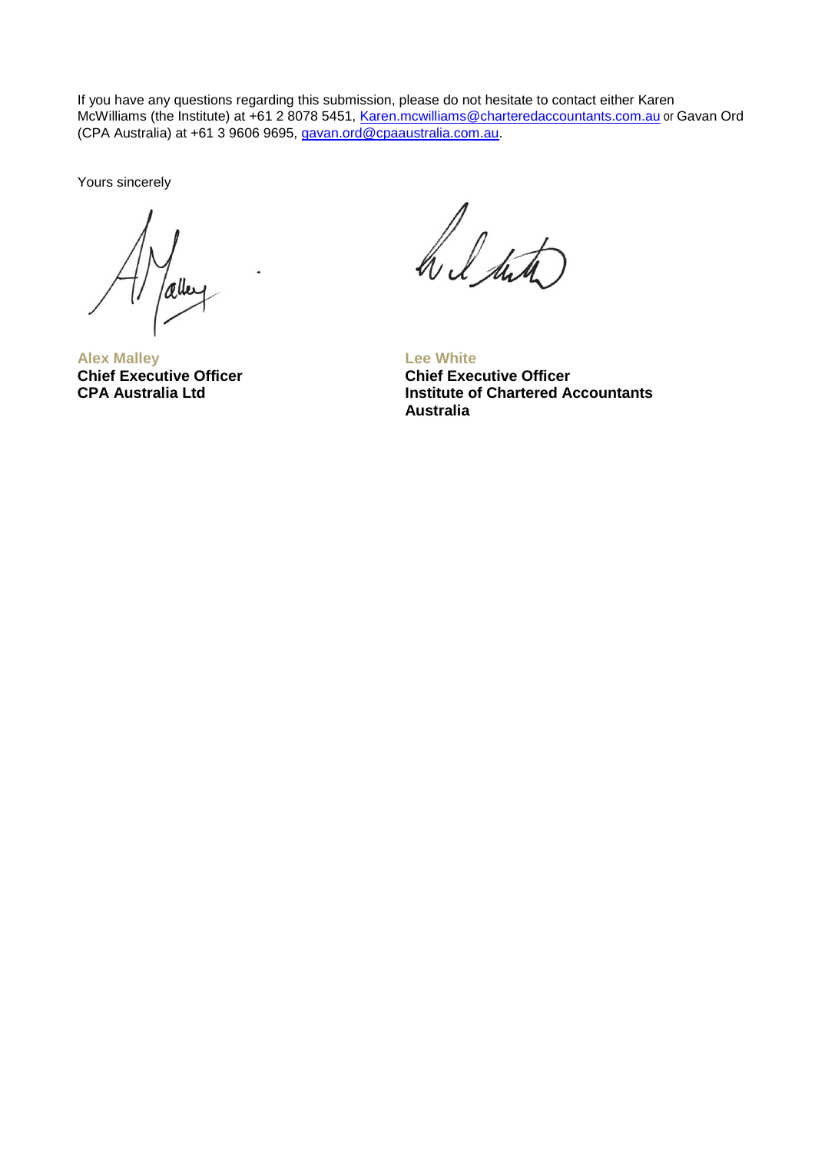If you have any questions regarding this submission, please do not hesitate to contact either Karen McWilliams (the Institute) at +61 2 8078 5451, [Karen.mcwilliams@charteredaccountants.com.au](mailto:Karen.mcwilliams@charteredaccountants.com.au) or Gavan Ord (CPA Australia) at +61 3 9606 9695, [gavan.ord@cpaaustralia.com.au.](mailto:gavan.ord@cpaaustralia.com.au)

Yours sincerely

/aller

**Alex Malley Chief Executive Officer CPA Australia Ltd**

h l suto

**Lee White Chief Executive Officer Institute of Chartered Accountants Australia**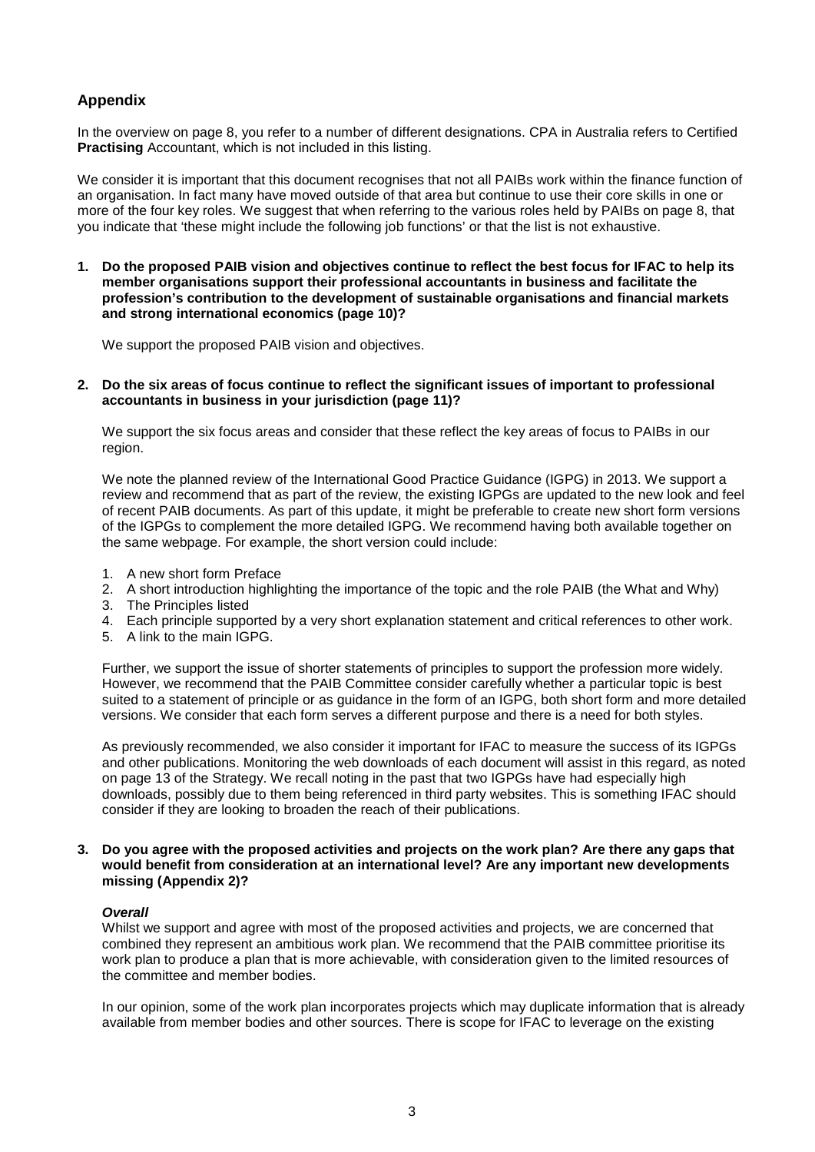# **Appendix**

In the overview on page 8, you refer to a number of different designations. CPA in Australia refers to Certified **Practising** Accountant, which is not included in this listing.

We consider it is important that this document recognises that not all PAIBs work within the finance function of an organisation. In fact many have moved outside of that area but continue to use their core skills in one or more of the four key roles. We suggest that when referring to the various roles held by PAIBs on page 8, that you indicate that 'these might include the following job functions' or that the list is not exhaustive.

**1. Do the proposed PAIB vision and objectives continue to reflect the best focus for IFAC to help its member organisations support their professional accountants in business and facilitate the profession's contribution to the development of sustainable organisations and financial markets and strong international economics (page 10)?**

We support the proposed PAIB vision and objectives.

**2. Do the six areas of focus continue to reflect the significant issues of important to professional accountants in business in your jurisdiction (page 11)?**

We support the six focus areas and consider that these reflect the key areas of focus to PAIBs in our region.

We note the planned review of the International Good Practice Guidance (IGPG) in 2013. We support a review and recommend that as part of the review, the existing IGPGs are updated to the new look and feel of recent PAIB documents. As part of this update, it might be preferable to create new short form versions of the IGPGs to complement the more detailed IGPG. We recommend having both available together on the same webpage. For example, the short version could include:

- 1. A new short form Preface
- 2. A short introduction highlighting the importance of the topic and the role PAIB (the What and Why)
- 3. The Principles listed
- 4. Each principle supported by a very short explanation statement and critical references to other work.
- 5. A link to the main IGPG.

Further, we support the issue of shorter statements of principles to support the profession more widely. However, we recommend that the PAIB Committee consider carefully whether a particular topic is best suited to a statement of principle or as guidance in the form of an IGPG, both short form and more detailed versions. We consider that each form serves a different purpose and there is a need for both styles.

As previously recommended, we also consider it important for IFAC to measure the success of its IGPGs and other publications. Monitoring the web downloads of each document will assist in this regard, as noted on page 13 of the Strategy. We recall noting in the past that two IGPGs have had especially high downloads, possibly due to them being referenced in third party websites. This is something IFAC should consider if they are looking to broaden the reach of their publications.

### **3. Do you agree with the proposed activities and projects on the work plan? Are there any gaps that would benefit from consideration at an international level? Are any important new developments missing (Appendix 2)?**

# *Overall*

Whilst we support and agree with most of the proposed activities and projects, we are concerned that combined they represent an ambitious work plan. We recommend that the PAIB committee prioritise its work plan to produce a plan that is more achievable, with consideration given to the limited resources of the committee and member bodies.

In our opinion, some of the work plan incorporates projects which may duplicate information that is already available from member bodies and other sources. There is scope for IFAC to leverage on the existing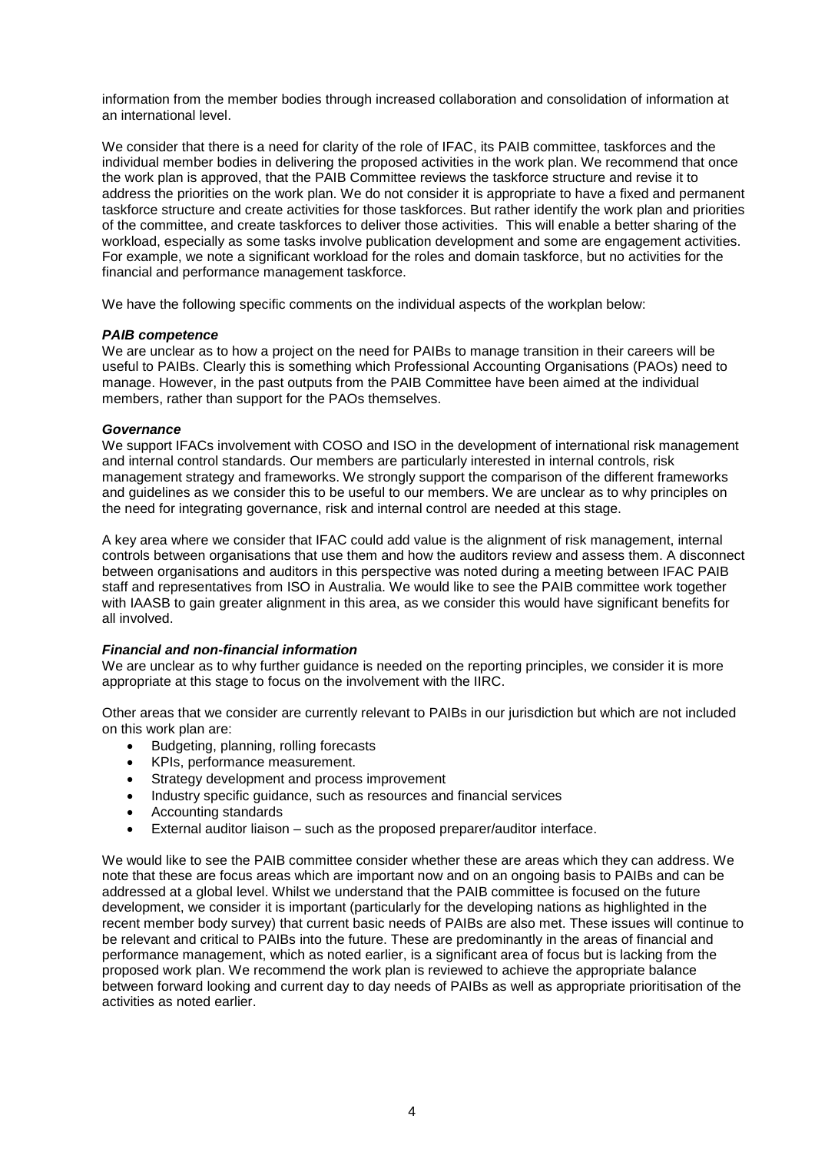information from the member bodies through increased collaboration and consolidation of information at an international level.

We consider that there is a need for clarity of the role of IFAC, its PAIB committee, taskforces and the individual member bodies in delivering the proposed activities in the work plan. We recommend that once the work plan is approved, that the PAIB Committee reviews the taskforce structure and revise it to address the priorities on the work plan. We do not consider it is appropriate to have a fixed and permanent taskforce structure and create activities for those taskforces. But rather identify the work plan and priorities of the committee, and create taskforces to deliver those activities. This will enable a better sharing of the workload, especially as some tasks involve publication development and some are engagement activities. For example, we note a significant workload for the roles and domain taskforce, but no activities for the financial and performance management taskforce.

We have the following specific comments on the individual aspects of the workplan below:

### *PAIB competence*

We are unclear as to how a project on the need for PAIBs to manage transition in their careers will be useful to PAIBs. Clearly this is something which Professional Accounting Organisations (PAOs) need to manage. However, in the past outputs from the PAIB Committee have been aimed at the individual members, rather than support for the PAOs themselves.

### *Governance*

We support IFACs involvement with COSO and ISO in the development of international risk management and internal control standards. Our members are particularly interested in internal controls, risk management strategy and frameworks. We strongly support the comparison of the different frameworks and guidelines as we consider this to be useful to our members. We are unclear as to why principles on the need for integrating governance, risk and internal control are needed at this stage.

A key area where we consider that IFAC could add value is the alignment of risk management, internal controls between organisations that use them and how the auditors review and assess them. A disconnect between organisations and auditors in this perspective was noted during a meeting between IFAC PAIB staff and representatives from ISO in Australia. We would like to see the PAIB committee work together with IAASB to gain greater alignment in this area, as we consider this would have significant benefits for all involved.

# *Financial and non-financial information*

We are unclear as to why further guidance is needed on the reporting principles, we consider it is more appropriate at this stage to focus on the involvement with the IIRC.

Other areas that we consider are currently relevant to PAIBs in our jurisdiction but which are not included on this work plan are:

- Budgeting, planning, rolling forecasts
- KPIs, performance measurement.
- Strategy development and process improvement
- Industry specific guidance, such as resources and financial services
- Accounting standards
- External auditor liaison such as the proposed preparer/auditor interface.

We would like to see the PAIB committee consider whether these are areas which they can address. We note that these are focus areas which are important now and on an ongoing basis to PAIBs and can be addressed at a global level. Whilst we understand that the PAIB committee is focused on the future development, we consider it is important (particularly for the developing nations as highlighted in the recent member body survey) that current basic needs of PAIBs are also met. These issues will continue to be relevant and critical to PAIBs into the future. These are predominantly in the areas of financial and performance management, which as noted earlier, is a significant area of focus but is lacking from the proposed work plan. We recommend the work plan is reviewed to achieve the appropriate balance between forward looking and current day to day needs of PAIBs as well as appropriate prioritisation of the activities as noted earlier.